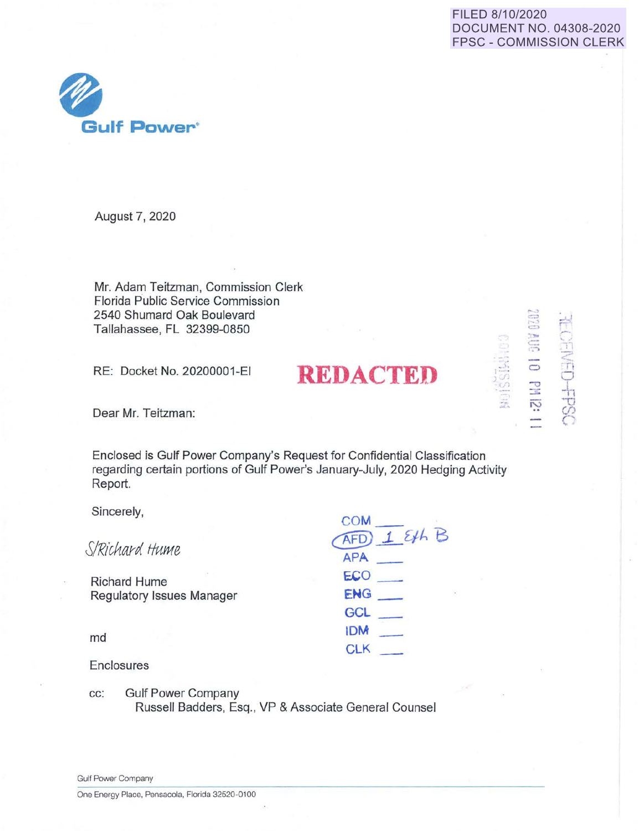## FILED 8/10/2020 DOCUMENT NO. 04308-2020 FPSC - COMMISSION CLERK

. ,: I-· *)* j) I *I*   $\frac{5}{10}$ **;.r ..** 

 $\sim$  $\equiv$  $\Xi$  $\sum_{i=1}^{\infty}$  $\Xi$   $\Xi$  $5 - 17$ <'.  $\Rightarrow$   $\Box$ 0

54-(2)

 $\tilde{\mathcal{D}}$  $\approx$ 



August 7, 2020

Mr. Adam Teitzman, Commission Clerk Florida Public Service Commission 2540 Shumard Oak Boulevard Tallahassee, FL 32399-0850

RE: Docket No. 20200001-EI **REDACTED** 

Dear Mr. Teitzman:

Enclosed is Gulf Power Company's Request for Confidential Classification regarding certain portions of Gulf Power's January-July, 2020 Hedging Activity Report.

**COM** 

Sincerely,

|                           | $\sim$<br>$I$ Eth B |
|---------------------------|---------------------|
| S/Richard Hume            | <b>APA</b>          |
| <b>Richard Hume</b>       | ECO                 |
| Regulatory Issues Manager | ENG<br>÷,           |
|                           | GCL                 |
| md                        | <b>IDM</b>          |
|                           | CLK                 |
| Enclosures                |                     |

cc: Gulf Power Company Russell Badders, Esq., VP & Associate General Counsel

Gulf Power Company

One Energy Place, Pensacola, Florida 32520-0100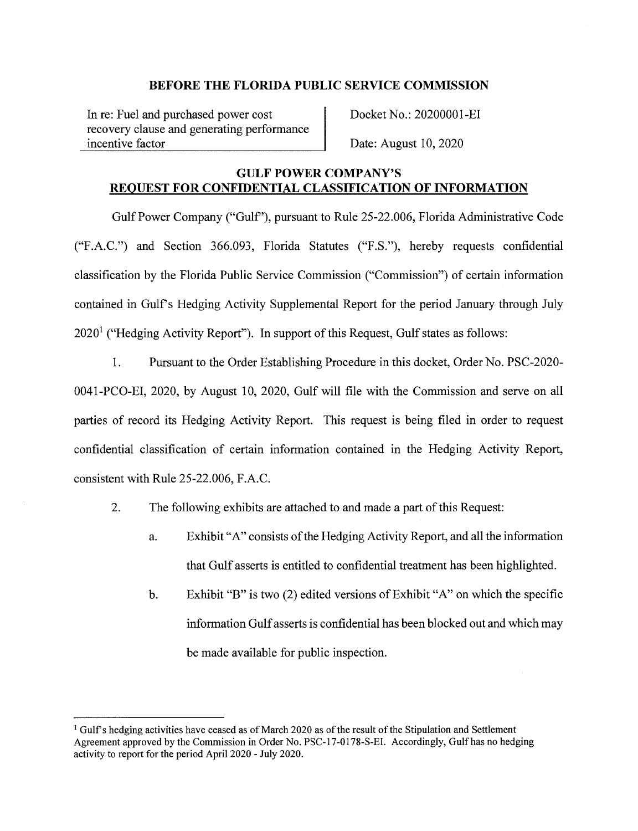In re: Fuel and purchased power cost recovery clause and generating performance incentive factor

Docket No.: 20200001-EI

Date: August 10, 2020

## **GULF POWER COMPANY'S REQUEST FOR CONFIDENTIAL CLASSIFICATION OF INFORMATION**

Gulf Power Company ("Gulf'), pursuant to Rule 25-22.006, Florida Administrative Code ("F.A.C.") and Section 366.093, Florida Statutes ("F.S."), hereby requests confidential classification by the Florida Public Service Commission ("Commission") of certain information contained in Gulf's Hedging Activity Supplemental Report for the period January through July  $2020<sup>1</sup>$  ("Hedging Activity Report"). In support of this Request, Gulf states as follows:

I. Pursuant to the Order Establishing Procedure in this docket, Order No. PSC-2020- 0041-PCO-EI, 2020, by August 10, 2020, Gulf will file with the Commission and serve on all parties of record its Hedging Activity Report. This request is being filed in order to request confidential classification of certain information contained in the Hedging Activity Report, consistent with Rule 25-22.006, F.A.C.

- 2. The following exhibits are attached to and made a part of this Request:
	- a. Exhibit "A" consists of the Hedging Activity Report, and all the information that Gulf asserts is entitled to confidential treatment has been highlighted.
	- b. Exhibit "B" is two (2) edited versions of Exhibit "A" on which the specific information Gulf asserts is confidential has been blocked out and which may be made available for public inspection.

 $<sup>1</sup>$  Gulf's hedging activities have ceased as of March 2020 as of the result of the Stipulation and Settlement</sup> Agreement approved by the Commission in Order No. PSC-17-0178-S-EI. Accordingly, Gulf has no hedging activity to report for the period April 2020 - July 2020.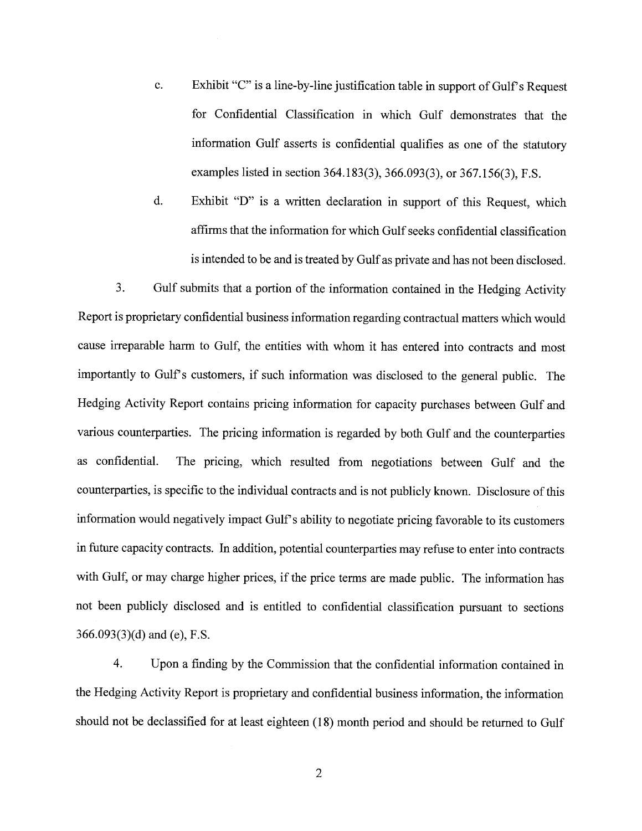- c. Exhibit "C" is a line-by-line justification table in support of Gulf's Request for Confidential Classification in which Gulf demonstrates that the information Gulf asserts is confidential qualifies as one of the statutory examples listed in section 364.183(3), 366.093(3), or 367.156(3), F.S.
- d. Exhibit "D" is a written declaration in support of this Request, which affirms that the information for which Gulf seeks confidential classification is intended to be and is treated by Gulf as private and has not been disclosed.

3. Gulf submits that a portion of the information contained in the Hedging Activity Report is proprietary confidential business information regarding contractual matters which would cause irreparable harm to Gulf, the entities with whom it has entered into contracts and most importantly to Gulf's customers, if such information was disclosed to the general public. The Hedging Activity Report contains pricing information for capacity purchases between Gulf and various counterparties. The pricing information is regarded by both Gulf and the counterparties as confidential. The pricing, which resulted from negotiations between Gulf and the counterparties, is specific to the individual contracts and is not publicly known. Disclosure of this information would negatively impact Gulf's ability to negotiate pricing favorable to its customers in future capacity contracts. In addition, potential counterparties may refuse to enter into contracts with Gulf, or may charge higher prices, if the price terms are made public. The information has not been publicly disclosed and is entitled to confidential classification pursuant to sections 366.093(3)(d) and (e), F.S.

4. Upon a finding by the Commission that the confidential information contained in the Hedging Activity Report is proprietary and confidential business information, the information should not be declassified for at least eighteen (18) month period and should be returned to Gulf

2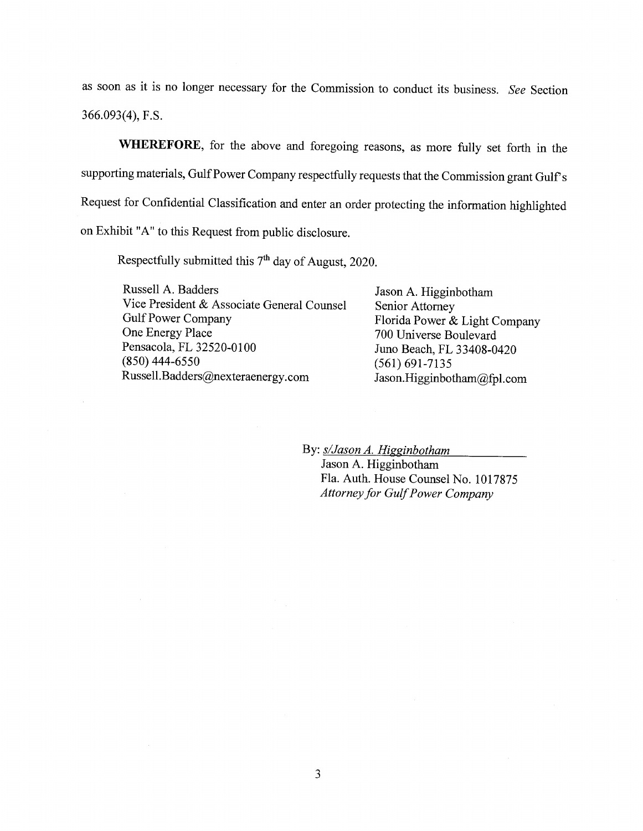as soon as it is no longer necessary for the Commission to conduct its business. *See* Section 366.093(4), F.S.

**WHEREFORE,** for the above and foregoing reasons, as more fully set forth in the supporting materials, Gulf Power Company respectfully requests that the Commission grant Gulf's Request for Confidential Classification and enter an order protecting the information highlighted on Exhibit "A" to this Request from public disclosure.

Respectfully submitted this 7<sup>th</sup> day of August, 2020.

Russell A. Badders Vice President & Associate General Counsel Gulf Power Company<br>One Energy Place Pensacola, FL 32520-0100 (850) 444-6550 Russell.Badders@nexteraenergy.com

Jason A. Higginbotham Senior Attorney Florida Power & Light Company 700 Universe Boulevard Juno Beach, FL 33408-0420 (561) 691-7135 Jason.Higginbotham@fpl.com

By:  $s/ Jason A. Higgin both am$ 

Jason A. Higginbotham Fla. Auth. House Counsel No. 1017875 *Attorney for Gulf Power Company*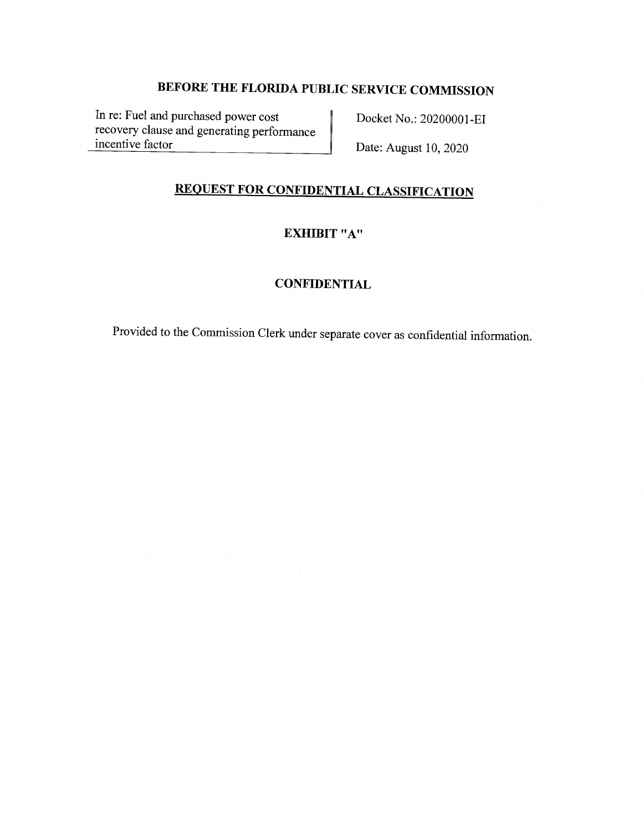In re: Fuel and purchased power cost recovery clause and generating performance incentive factor

Docket No.: 20200001-EI

Date: August 10, 2020

# **REQUEST FOR CONFIDENTIAL CLASSIFICATION**

# **EXHIBIT "A"**

### **CONFIDENTIAL**

Provided to the Commission Clerk under separate cover as confidential information.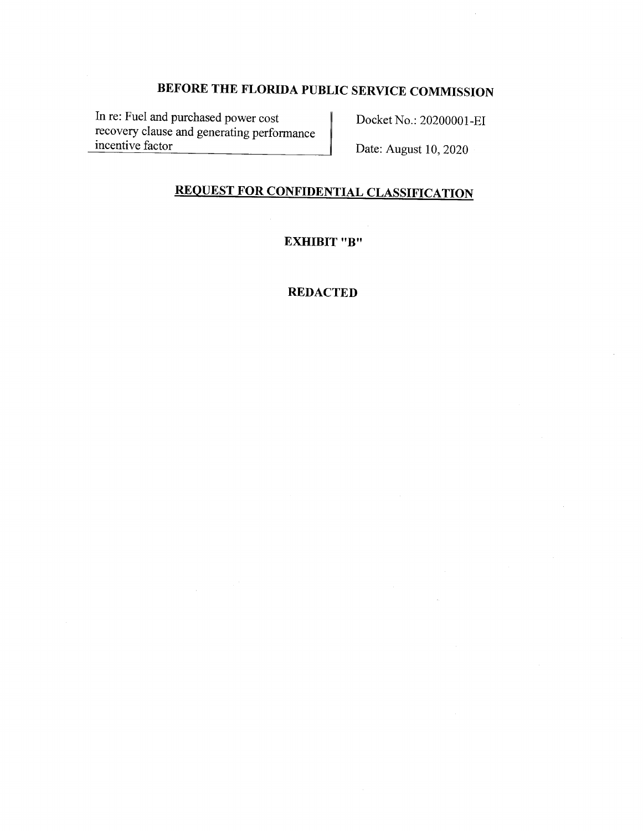In re: Fuel and purchased power cost recovery clause and generating performance incentive factor

Docket No.: 20200001-EI

Date: August 10, 2020

# **REQUEST FOR CONFIDENTIAL CLASSIFICATION**

# **EXHIBIT "B"**

### **REDACTED**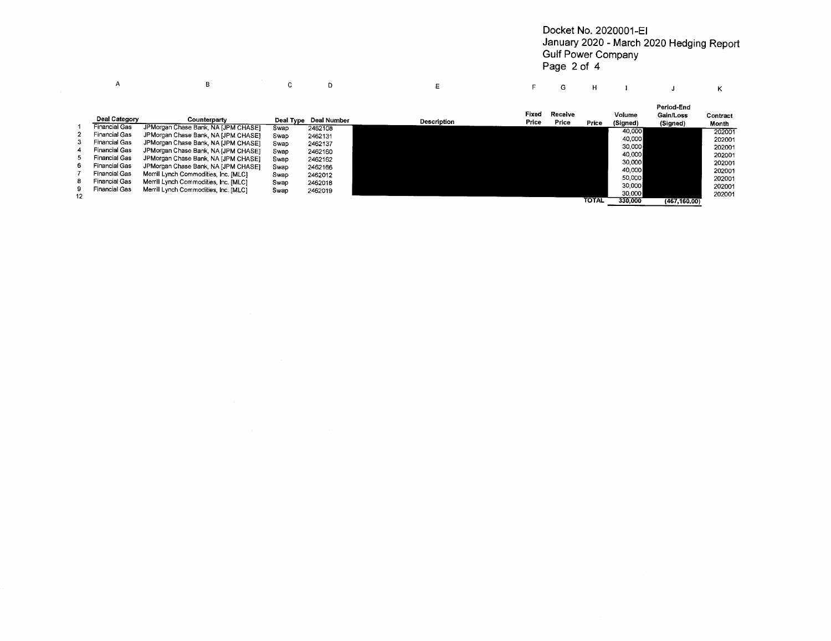#### Docket No. 2020001-EI January 2020 - March 2020 Hedging Report Gulf Power Company Page 2 of 4

|    | А                    | в                                     | c.        | D           | E                  |                | G                | н            |                    |                                     |                   |
|----|----------------------|---------------------------------------|-----------|-------------|--------------------|----------------|------------------|--------------|--------------------|-------------------------------------|-------------------|
|    | Deal Category        | Counterparty                          | Deal Type | Deal Number | <b>Description</b> | Fixed<br>Price | Receive<br>Price | Price        | Volume<br>(Signed) | Period-End<br>Gain/Loss<br>(Signed) | Contract<br>Month |
|    | <b>Financial Gas</b> | JPMorgan Chase Bank, NA [JPM CHASE]   | Swap      | 2462108     |                    |                |                  |              | 40,000             |                                     | 202001            |
|    | Financial Gas        | JPMorgan Chase Bank, NA [JPM CHASE]   | Swap      | 2462131     |                    |                |                  |              | 40,000             |                                     | 202001            |
| 3  | Financial Gas        | JPMorgan Chase Bank, NA [JPM CHASE]   | Swap      | 2462137     |                    |                |                  |              | 30,000             |                                     |                   |
| 4  | <b>Financial Gas</b> | JPMorgan Chase Bank, NA [JPM CHASE]   | Swap      | 2462160     |                    |                |                  |              |                    |                                     | 202001            |
|    | Financial Gas        | JPMorgan Chase Bank, NA [JPM CHASE]   | Swap      | 2462162     |                    |                |                  |              | 40,000             |                                     | 202001            |
| 6. | <b>Financial Gas</b> | JPMorgan Chase Bank, NA [JPM CHASE]   | Swap      | 2462166     |                    |                |                  |              | 30,000             |                                     | 202001            |
|    | Financial Gas        | Merrill Lynch Commodities, Inc. [MLC] | Swap      | 2462012     |                    |                |                  |              | 40,000             |                                     | 202001            |
| 8  | <b>Financial Gas</b> | Merrill Lynch Commodities, Inc. [MLC] |           |             |                    |                |                  |              | 50,000             |                                     | 202001            |
| 9. | Financial Gas        |                                       | Swap      | 2462018     |                    |                |                  |              | 30,000             |                                     | 202001            |
| 12 |                      | Merrill Lynch Commodities, Inc. [MLC] | Swap      | 2462019     |                    |                |                  |              | 30,000             |                                     | 202001            |
|    |                      |                                       |           |             |                    |                |                  | <b>TOTAL</b> | 330,000            | (467, 160, 00)                      |                   |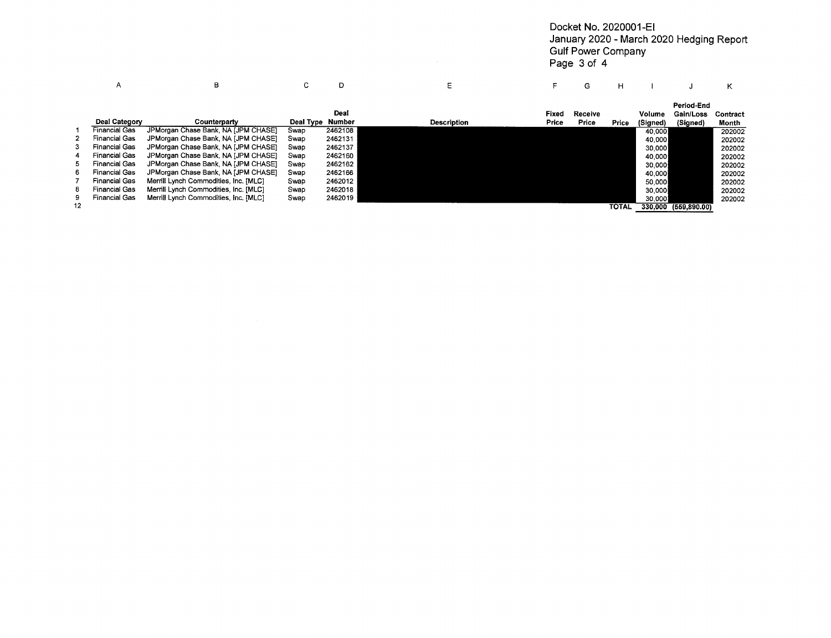Docket No. 2020001-EI January 2020 - March 2020 Hedging Report Gulf Power Company Page 3 of 4

|    |                      | в                                     | U         |         |                    |                | G                | н     |                    |                       |                   |
|----|----------------------|---------------------------------------|-----------|---------|--------------------|----------------|------------------|-------|--------------------|-----------------------|-------------------|
|    |                      |                                       |           | Deal    |                    |                |                  |       |                    | Period-End            |                   |
|    | Deal Category        | Counterparty                          | Deal Type | Number  | <b>Description</b> | Fixed<br>Price | Receive<br>Price | Price | Volume<br>(Signed) | Gain/Loss<br>(Signed) | Contract<br>Month |
|    | <b>Financial Gas</b> | JPMorgan Chase Bank, NA [JPM CHASE]   | Swap      | 2462108 |                    |                |                  |       | 40.000             |                       | 202002            |
|    | <b>Financial Gas</b> | JPMorgan Chase Bank, NA [JPM CHASE]   | Swap      | 2462131 |                    |                |                  |       | 40,000             |                       | 202002            |
| З. | Financial Gas        | JPMorgan Chase Bank, NA JJPM CHASE1   | Swap      | 2462137 |                    |                |                  |       | 30,000             |                       | 202002            |
| 4  | <b>Financial Gas</b> | JPMorgan Chase Bank, NA [JPM CHASE]   | Swap      | 2462160 |                    |                |                  |       | 40,000             |                       | 202002            |
| 5. | Financial Gas        | JPMorgan Chase Bank, NA [JPM CHASE]   | Swap      | 2462162 |                    |                |                  |       | 30,000             |                       | 202002            |
| 6. | Financial Gas        | JPMorgan Chase Bank, NA [JPM CHASE]   | Swap      | 2462166 |                    |                |                  |       | 40,000             |                       | 202002            |
|    | <b>Financial Gas</b> | Merrill Lynch Commodities, Inc. [MLC] | Swap      | 2462012 |                    |                |                  |       | 50,000             |                       | 202002            |
| 8  | <b>Financial Gas</b> | Merrill Lynch Commodities, Inc. [MLC] | Swap      | 2462018 |                    |                |                  |       | 30,000             |                       | 202002            |
| 9. | <b>Financial Gas</b> | Merrill Lynch Commodities, Inc. [MLC] | Swap      | 2462019 |                    |                |                  |       | 30,0001            |                       | 202002            |
| 12 |                      |                                       |           |         |                    |                |                  | TOTAL |                    | 330.000 (559.890.00)  |                   |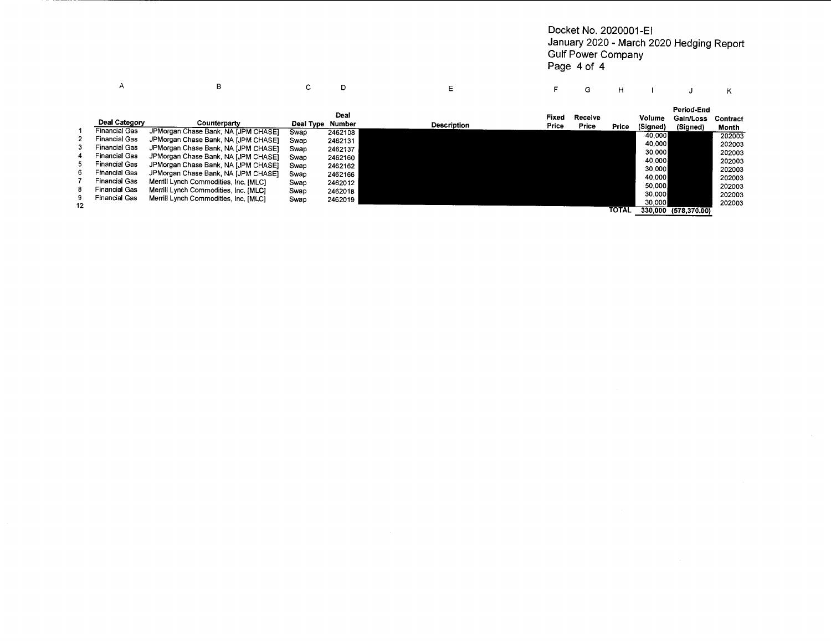#### Docket No. 2020001-EI January 2020 - March 2020 Hedging Report Gulf Power Company Page 4 of 4

|    | А                                            | в                                     | c         |                | Ε                  |                | G                | н          |                    |                                     |                   |
|----|----------------------------------------------|---------------------------------------|-----------|----------------|--------------------|----------------|------------------|------------|--------------------|-------------------------------------|-------------------|
|    | Deal Category                                | Counterparty                          | Deal Type | Deal<br>Number | <b>Description</b> | Fixed<br>Price | Receive<br>Price | Price      | Volume<br>(Signed) | Period-End<br>Gain/Loss<br>(Signed) | Contract<br>Month |
| 2. | <b>Financial Gas</b><br><b>Financial Gas</b> | JPMorgan Chase Bank, NA [JPM CHASE]   | Swap      | 2462108        |                    |                |                  |            | 40,000             |                                     | 202003            |
|    | <b>Financial Gas</b>                         | JPMorgan Chase Bank, NA [JPM CHASE]   | Swap      | 2462131        |                    |                |                  |            | 40,000             |                                     | 202003            |
| 4  | <b>Financial Gas</b>                         | JPMorgan Chase Bank, NA [JPM CHASE]   | Swap      | 2462137        |                    |                |                  |            | 30,000             |                                     | 202003            |
|    | <b>Financial Gas</b>                         | JPMorgan Chase Bank, NA [JPM CHASE]   | Swap      | 2462160        |                    |                |                  |            | 40,000             |                                     | 202003            |
|    |                                              | JPMorgan Chase Bank, NA [JPM CHASE]   | Swap      | 2462162        |                    |                |                  |            | 30,000             |                                     | 202003            |
| 6. | Financial Gas                                | JPMorgan Chase Bank, NA [JPM CHASE]   | Swap      | 2462166        |                    |                |                  |            | 40,000             |                                     | 202003            |
|    | <b>Financial Gas</b>                         | Merrill Lynch Commodities, Inc. [MLC] | Swap      | 2462012        |                    |                |                  |            | 50,000             |                                     | 202003            |
| 8  | <b>Financial Gas</b>                         | Merrill Lynch Commodities, Inc. [MLC] | Swap      | 2462018        |                    |                |                  |            | 30,000             |                                     | 202003            |
| 9  | <b>Financial Gas</b>                         | Merrill Lynch Commodities, Inc. [MLC] | Swap      | 2462019        |                    |                |                  |            | 30,000             |                                     | 202003            |
| 12 |                                              |                                       |           |                |                    |                |                  | $T^{\sim}$ |                    | 330.000 USA 830.001                 |                   |

TOTAL 330,000 (578,370.00)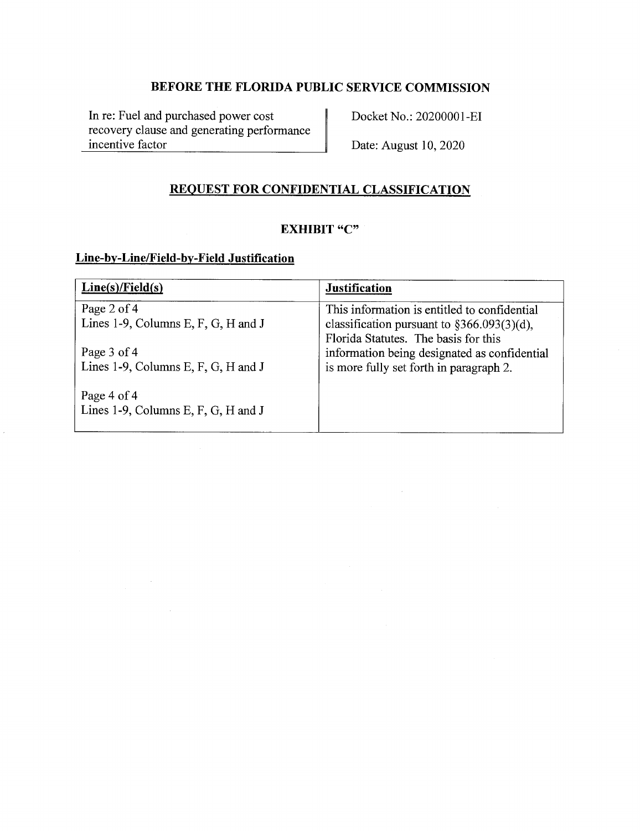In re: Fuel and purchased power cost recovery clause and generating performance incentive factor

Docket No.: 20200001-EI

Date: August 10, 2020

# **REQUEST FOR CONFIDENTIAL CLASSIFICATION**

## **EXHIBIT "C"**

## **Line-by-Line/Field-by-Field Justification**

 $\label{eq:2.1} \frac{1}{\sqrt{2\pi}}\int_{\mathbb{R}^{2}}\frac{d\mu}{\sqrt{2\pi}}\left(\frac{d\mu}{\mu}\right)^{2}d\mu\,d\mu\,.$ 

 $\hat{\boldsymbol{\epsilon}}$ 

| Line(s)/Field(s)                                     | <b>Justification</b>                                                                                                                   |
|------------------------------------------------------|----------------------------------------------------------------------------------------------------------------------------------------|
| Page 2 of 4<br>Lines 1-9, Columns E, F, G, H and J   | This information is entitled to confidential<br>classification pursuant to $\S366.093(3)(d)$ ,<br>Florida Statutes. The basis for this |
| Page 3 of 4<br>Lines 1-9, Columns E, F, G, H and J   | information being designated as confidential<br>is more fully set forth in paragraph 2.                                                |
| Page 4 of $4$<br>Lines 1-9, Columns E, F, G, H and J |                                                                                                                                        |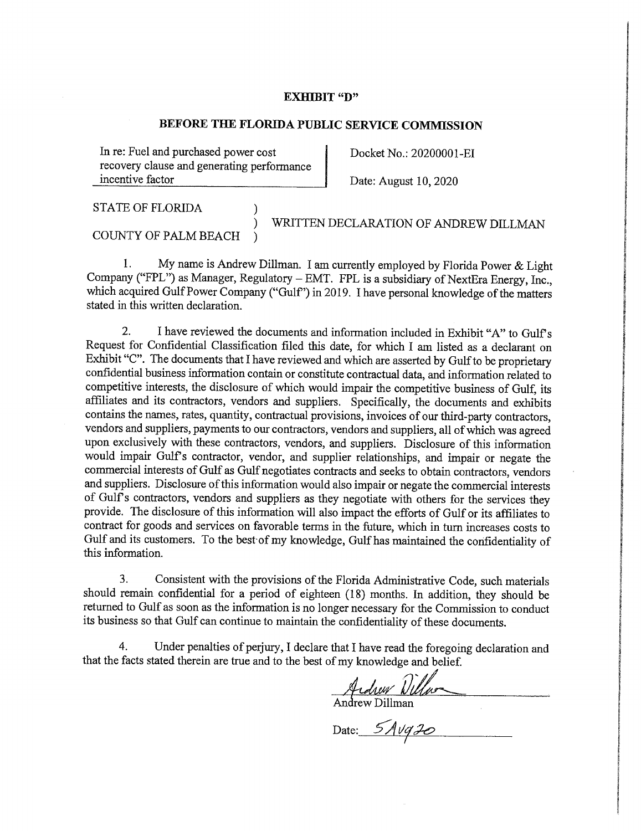#### **EXHIBIT "D"**

### **BEFORE THE FLORIDA PUBLIC SERVICE COMMISSION**

In re: Fuel and purchased power cost recovery clause and generating performance incentive factor

Docket No.: 20200001-EI

I

I

I

fan yn 1979.<br>Gertaerd i<br>I alta serial de la contrada de la contrada de la contrada de la contrada de la contrada de la contrada de la<br>I alta de la contrada de la contrada de la contrada de la contrada de la contrada de la contrada de la contrad international<br>International I la provincia del control de la control<br>La provincia del control de la control de la control de la control de la control de la control de la control<br>La provincia del control de la control de la control de la control de la c

I

r<br>Ba **I International** r, ! **International Commercial Increase I**<br>Internet i<br>I altres de la companya<br>I altres de la companya

' **Internet** 

I

!<br>!<br>!

t " ISBN 0-575-0-575-0-575-0-575-0-575-0-575-0-575-0-575-0-575-0-575-0-575-0-575-0-575-0-575-0-575-0-575-0-575-0<br>" ISBN 0-575-0-575-0-575-0-575-0-575-0-575-0-575-0-575-0-575-0-575-0-575-0-575-0-575-0-575-0-575-0-575-0-575-0<br>

i **Internet** la provincia della contra della contra della contra della contra della contra della contra della contra della<br>La contra della contra della contra della contra della contra della contra della contra della contra della con

! **Includes** 

i<br>I ff **In the company of the company of the company of the company of the company of the company of the company of th International** 

**In the case of the contract of the contract of the contract of the contract of the contract of the contract of the contract of the contract of the contract of the contract of the contract of the contract of the contract o** 

ing and the company of the company of the company of the company of the company of the company of the company of the company of the company of the company of the company of the company of the company of the company of the f t I I

**I**<br>International Property of Party and Property and Party and Property and Property and Property and Property and P

Date: August 10, 2020

STATE OF FLORIDA )

) WRITTEN DECLARATION OF ANDREW DILLMAN

COUNTY OF PALM BEACH )

1. My name is Andrew Dillman. I am currently employed by Florida Power & Light Company ("FPL") as Manager, Regulatory  $-$  EMT. FPL is a subsidiary of NextEra Energy, Inc., which acquired Gulf Power Company ("Gulf") in 2019. I have personal knowledge of the matters stated in this written declaration.

2. I have reviewed the documents and information included in Exhibit "A" to Gulf's Request for Confidential Classification filed this date, for which I am listed as a declarant on Exhibit "C". The documents that I have reviewed and which are asserted by Gulf to be proprietary confidential business information contain or constitute contractual data, and information related to competitive interests, the disclosure of which would impair the competitive business of Gulf, its affiliates and its contractors, vendors and suppliers. Specifically, the documents and exhibits contains the names, rates, quantity, contractual provisions, invoices of our third-party contractors, vendors and suppliers, payments to our contractors, vendors and suppliers, all of which was agreed upon exclusively with these contractors, vendors, and suppliers. Disclosure of this information would impair Gulf's contractor, vendor, and supplier relationships, and impair or negate the commercial interests of Gulf as Gulf negotiates contracts and seeks to obtain contractors, vendors and suppliers. Disclosure of this information would also impair or negate the commercial interests of Gulfs contractors, vendors and suppliers as they negotiate with others for the services they provide. The disclosure of this information will also impact the efforts of Gulf or its affiliates to contract for goods and services on favorable terms in the future, which in turn increases costs to Gulf and its customers. To the best·of my knowledge, Gulf has maintained the confidentiality of this information.

3. Consistent with the provisions of the Florida Administrative Code, such materials should remain confidential for a period of eighteen (18) months. In addition, they should be returned to Gulf as soon as the information is no longer necessary for the Commission to conduct its business so that Gulf can continue to maintain the confidentiality of these documents.

4. Under penalties of perjury, I declare that I have read the foregoing declaration and that the facts stated therein are true and to the best of my knowledge and belief.

 $u_{\rm}$  *village* 

Andrew Dillman

Date: 5*Avq20*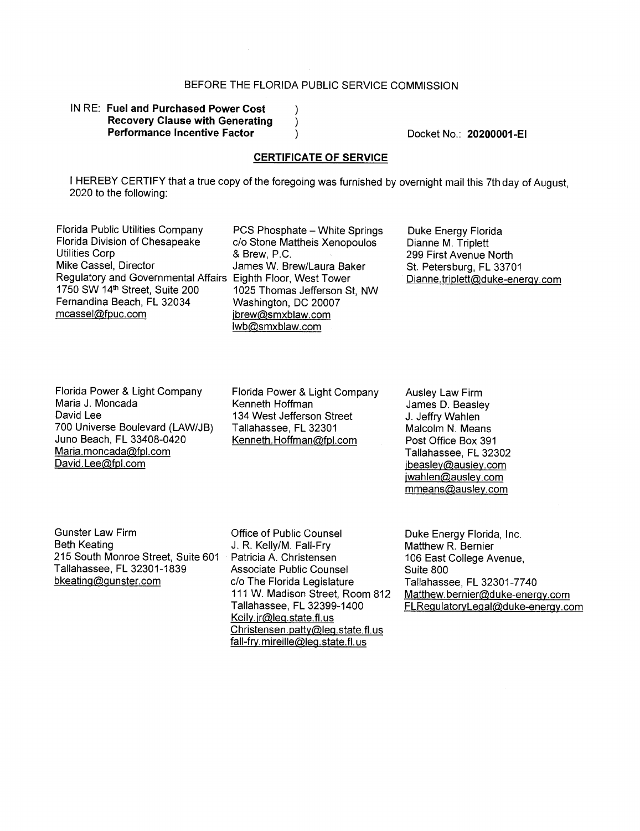$\lambda$  $\lambda$  $\lambda$ 

#### IN RE: **Fuel and Purchased Power Cost Recovery Clause with Generating Performance Incentive Factor**

Docket No.: **20200001-EI** 

#### **CERTIFICATE OF SERVICE**

I HEREBY CERTIFY that a true copy of the foregoing was furnished by overnight mail this 7th day of August, 2020 to the following:

Florida Public Utilities Company PCS Phosphate - White Springs<br>Florida Division of Chesapeake c/o Stone Mattheis Xenopoulos Florida Division of Chesapeake c/o Stone Mattheis Xenopoulos<br>Utilities Corp c & Brew P C Utilities Corp & Brew, P .C. Regulatory and Governmental Affairs Eighth Floor, West Tower<br>1750 SW 14<sup>th</sup> Street, Suite 200 1025 Thomas Jefferson S Fernandina Beach, FL 32034 Washington, DC 20007<br>mcassel@fpuc.com ibrew@smxblaw.com

James W. Brew/Laura Baker 1025 Thomas Jefferson St, NW jbrew@smxblaw.com lwb@smxblaw.com

Duke Energy Florida Dianne M. Triplett 299 First Avenue North St. Petersburg, FL 33701 Dianne.triplett@duke-energy.com

Florida Power & Light Company Maria J. Moncada David Lee 700 Universe Boulevard (LAW/JB) Juno Beach, FL 33408-0420 Maria.moncada@fpl.com David. Lee@fpl.com

Florida Power & Light Company Kenneth Hoffman 134 West Jefferson Street Tallahassee, FL 32301 Kenneth.Hoffman@fpl.com

Ausley Law Firm James D. Beasley J. Jeffry Wahlen Malcolm **N.** Means Post Office Box 391 Tallahassee, FL 32302 jbeasley@ausley.com jwahlen@ausley.com mmeans@ausley.com

Gunster Law Firm Beth Keating 215 South Monroe Street, Suite 601 Tallahassee, FL 32301-1839 bkeating@gunster.com

Office of Public Counsel J. R. Kelly/M. Fall-Fry Patricia A. Christensen Associate Public Counsel c/o The Florida Legislature 111 W. Madison Street, Room 812 Tallahassee, FL 32399-1400 Kelly.jr@leg.state.fl.us Christensen.patty@leg.state.fl.us fall-fry. mireille@leg.state. fl. us

Duke Energy Florida, Inc. Matthew R. Bernier 106 East College Avenue, Suite 800 Tallahassee, FL 32301-7740 Matthew.bernier@duke-energy.com FLRegulatoryLegal@duke-enerqy.com